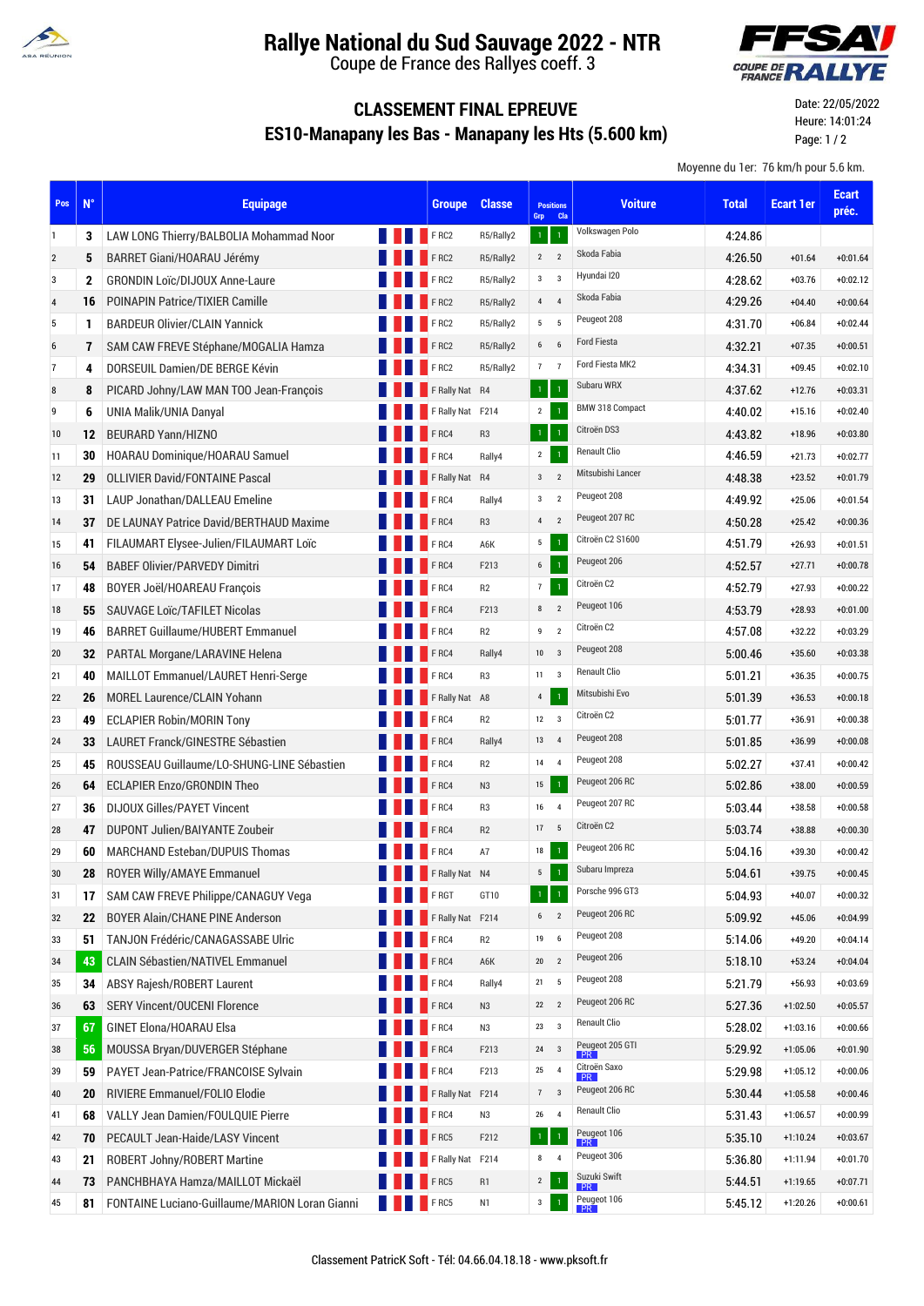

## **Rallye National du Sud Sauvage 2022 - NTR**

Coupe de France des Rallyes coeff. 3



## **CLASSEMENT FINAL EPREUVE ES10-Manapany les Bas - Manapany les Hts (5.600 km)**

Date: 22/05/2022 Heure: 14:01:24 Page: 1 / 2

Moyenne du 1er: 76 km/h pour 5.6 km.

| Pos            | $N^{\circ}$  | <b>Equipage</b>                                |             | <b>Groupe</b>    | <b>Classe</b>  | Grp                 | <b>Positions</b><br><b>Cla</b> | <b>Voiture</b>           | <b>Total</b> | <b>Ecart 1er</b> | <b>Ecart</b><br>préc. |
|----------------|--------------|------------------------------------------------|-------------|------------------|----------------|---------------------|--------------------------------|--------------------------|--------------|------------------|-----------------------|
| 1              | 3            | LAW LONG Thierry/BALBOLIA Mohammad Noor        |             | <b>FRC2</b>      | R5/Rally2      | $\mathbf{1}$        | $\mathbf{1}$                   | Volkswagen Polo          | 4:24.86      |                  |                       |
| $\overline{2}$ | 5            | BARRET Giani/HOARAU Jérémy                     |             | <b>FRC2</b>      | R5/Rally2      | $\overline{2}$      | $\overline{2}$                 | Skoda Fabia              | 4:26.50      | $+01.64$         | $+0:01.64$            |
| 3              | $\mathbf{2}$ | <b>GRONDIN Loïc/DIJOUX Anne-Laure</b>          |             | FRC2             | R5/Rally2      | $3^{\circ}$ 3       |                                | Hyundai I20              | 4:28.62      | $+03.76$         | $+0:02.12$            |
| 4              | 16           | POINAPIN Patrice/TIXIER Camille                |             | F <sub>RC2</sub> | R5/Rally2      | $4\quad 4$          |                                | Skoda Fabia              | 4.29.26      | $+04.40$         | $+0:00.64$            |
| 5              | 1            | <b>BARDEUR Olivier/CLAIN Yannick</b>           |             | FRC2             | R5/Rally2      | 5 <sub>5</sub>      | 5                              | Peugeot 208              | 4:31.70      | $+06.84$         | $+0:02.44$            |
| 6              | 7            | SAM CAW FREVE Stéphane/MOGALIA Hamza           |             | FRC2             | R5/Rally2      | $6\qquad 6$         |                                | <b>Ford Fiesta</b>       | 4.32.21      | $+07.35$         | $+0:00.51$            |
| 7              | 4            | DORSEUIL Damien/DE BERGE Kévin                 |             | <b>FRC2</b>      | R5/Rally2      | 7 <sub>7</sub>      |                                | Ford Fiesta MK2          | 4:34.31      | $+09.45$         | $+0:02.10$            |
| 8              | 8            | PICARD Johny/LAW MAN TOO Jean-François         |             | F Rally Nat R4   |                | $\mathbf \Phi$      | $\overline{1}$                 | Subaru WRX               | 4.37.62      | $+12.76$         | $+0:03.31$            |
| 9              | 6            | UNIA Malik/UNIA Danyal                         |             | F Rally Nat F214 |                | $\overline{2}$      | $\overline{1}$                 | BMW 318 Compact          | 4:40.02      | $+15.16$         | $+0:02.40$            |
| 10             | 12           | <b>BEURARD Yann/HIZNO</b>                      |             | F <sub>RC4</sub> | R <sub>3</sub> | $\mathcal{A}^{\pm}$ | $\overline{1}$                 | Citroën DS3              | 4:43.82      | +18.96           | $+0:03.80$            |
| 11             | 30           | HOARAU Dominique/HOARAU Samuel                 |             | F <sub>RC4</sub> | Rally4         | $\mathbf{2}$        | $\mathbf{1}$                   | <b>Renault Clio</b>      | 4:46.59      | $+21.73$         | $+0:02.77$            |
| 12             | 29           | <b>OLLIVIER David/FONTAINE Pascal</b>          |             | F Rally Nat R4   |                | 3 <sub>2</sub>      |                                | Mitsubishi Lancer        | 4.48.38      | $+23.52$         | $+0:01.79$            |
| 13             | 31           | <b>LAUP Jonathan/DALLEAU Emeline</b>           |             | F <sub>RC4</sub> | Rally4         | 3                   | $\overline{2}$                 | Peugeot 208              | 4:49.92      | $+25.06$         | $+0:01.54$            |
| 14             | 37           | DE LAUNAY Patrice David/BERTHAUD Maxime        |             | FRC4             | R <sub>3</sub> | $\overline{4}$      | $\overline{2}$                 | Peugeot 207 RC           | 4:50.28      | $+25.42$         | $+0:00.36$            |
| 15             | 41           | FILAUMART Elysee-Julien/FILAUMART Loïc         |             | F RCA            | A6K            | 5                   | $\mathbf{1}$                   | Citroën C2 S1600         | 4:51.79      | $+26.93$         | $+0:01.51$            |
| 16             | 54           | <b>BABEF Olivier/PARVEDY Dimitri</b>           |             | F <sub>RC4</sub> | F213           | $\mathbf 6$         | $\mathbf{1}$                   | Peugeot 206              | 4:52.57      | $+27.71$         | $+0:00.78$            |
| 17             | 48           | BOYER Joël/HOAREAU François                    |             | F <sub>RC4</sub> | R <sub>2</sub> | $\overline{7}$      | $\overline{1}$                 | Citroën C2               | 4:52.79      | $+27.93$         | $+0:00.22$            |
| 18             | 55           | <b>SAUVAGE LOIC/TAFILET Nicolas</b>            |             | FRC4             | F213           | 8                   | $\overline{2}$                 | Peugeot 106              | 4:53.79      | $+28.93$         | $+0:01.00$            |
| 19             | 46           | <b>BARRET Guillaume/HUBERT Emmanuel</b>        |             | F <sub>RC4</sub> | R2             | 9                   | $\overline{2}$                 | Citroën C2               | 4:57.08      | $+32.22$         | $+0:03.29$            |
| 20             | 32           | PARTAL Morgane/LARAVINE Helena                 |             | FRC4             | Rally4         | 10                  | $\overline{\mathbf{3}}$        | Peugeot 208              | 5.00.46      | $+35.60$         | $+0:03.38$            |
| 21             | 40           | MAILLOT Emmanuel/LAURET Henri-Serge            |             | F <sub>RC4</sub> | R <sub>3</sub> | 11                  | $\overline{\mathbf{3}}$        | <b>Renault Clio</b>      | 5:01.21      | $+36.35$         | $+0:00.75$            |
| 22             | 26           | <b>MOREL Laurence/CLAIN Yohann</b>             |             | F Rally Nat A8   |                | $\pmb{4}$           | $\mathbf 1$                    | Mitsubishi Evo           | 5.01.39      | $+36.53$         | $+0:00.18$            |
| 23             | 49           | <b>ECLAPIER Robin/MORIN Tony</b>               |             | F <sub>RC4</sub> | R2             | $12 \qquad 3$       |                                | Citroën C2               | 5:01.77      | $+36.91$         | $+0:00.38$            |
| 24             | 33           | LAURET Franck/GINESTRE Sébastien               |             | F <sub>RC4</sub> | Rally4         | 13                  | $\overline{4}$                 | Peugeot 208              | 5:01.85      | $+36.99$         | $+0:00.08$            |
| 25             | 45           | ROUSSEAU Guillaume/LO-SHUNG-LINE Sébastien     |             | FRC4             | R <sub>2</sub> | 14                  | $\overline{4}$                 | Peugeot 208              | 5:02.27      | $+37.41$         | $+0:00.42$            |
| 26             | 64           | <b>ECLAPIER Enzo/GRONDIN Theo</b>              |             | FRC4             | N <sub>3</sub> | $15\phantom{.0}$    | $\mathbf{1}$                   | Peugeot 206 RC           | 5:02.86      | $+38.00$         | $+0:00.59$            |
| 27             | 36           | <b>DIJOUX Gilles/PAYET Vincent</b>             |             | FRC4             | R <sub>3</sub> | 16                  | $\overline{4}$                 | Peugeot 207 RC           | 5:03.44      | $+38.58$         | $+0:00.58$            |
| 28             | 47           | DUPONT Julien/BAIYANTE Zoubeir                 |             | F <sub>RC4</sub> | R2             | 17                  | 5                              | Citroën C2               | 5:03.74      | +38.88           | $+0:00.30$            |
| 29             | 60           | <b>MARCHAND Esteban/DUPUIS Thomas</b>          |             | FRC4             | A7             | 18                  |                                | Peugeot 206 RC           | 5:04.16      | $+39.30$         | $+0:00.42$            |
| 30             | 28           | <b>ROYER Willy/AMAYE Emmanuel</b>              |             | FRally Nat N4    |                | 5 <sup>5</sup>      |                                | Subaru Impreza           | 5:04.61      | $+39.75$         | $+0:00.45$            |
| 31             | 17           | SAM CAW FREVE Philippe/CANAGUY Vega            | <b>FRGT</b> |                  | GT10           | $\mathbf{1}$        | $\mathbf{1}$                   | Porsche 996 GT3          | 5:04.93      | $+40.07$         | $+0:00.32$            |
| 32             | 22           | <b>BOYER Alain/CHANE PINE Anderson</b>         |             | F Rally Nat F214 |                | $6 \qquad 2$        |                                | Peugeot 206 RC           | 5:09.92      | $+45.06$         | $+0:04.99$            |
| 33             |              | 51   TANJON Frédéric/CANAGASSABE Ulric         |             | FRC4             | R <sub>2</sub> | 19                  | 6                              | Peugeot 208              | 5.14.06      | $+49.20$         | $+0:04.14$            |
| 34             |              | 43 CLAIN Sébastien/NATIVEL Emmanuel            |             | FRC4             | A6K            | $20\,$              | $\overline{2}$                 | Peugeot 206              | 5:18.10      | $+53.24$         | $+0:04.04$            |
| 35             | 34           | ABSY Rajesh/ROBERT Laurent                     |             | FRC4             | Rally4         | 21                  | 5                              | Peugeot 208              | 5:21.79      | $+56.93$         | $+0:03.69$            |
| 36             | 63           | <b>SERY Vincent/OUCENI Florence</b>            |             | FRC4             | N <sub>3</sub> | $22$ $2$            |                                | Peugeot 206 RC           | 5.27.36      | $+1:02.50$       | $+0:05.57$            |
| 37             | 67           | GINET Elona/HOARAU Elsa                        |             | FRC4             | N3             | $23\,$              | $\overline{\mathbf{3}}$        | <b>Renault Clio</b>      | 5:28.02      | $+1:03.16$       | $+0:00.66$            |
| 38             | 56           | MOUSSA Bryan/DUVERGER Stéphane                 |             | FRC4             | F213           | 24                  | $\overline{\mathbf{3}}$        | Peugeot 205 GTI          | 5.29.92      | $+1:05.06$       | $+0:01.90$            |
| 39             | 59           | PAYET Jean-Patrice/FRANCOISE Sylvain           |             | FRC4             | F213           | 25                  | 4                              | Citroën Saxo<br>PR       | 5:29.98      | $+1:05.12$       | $+0:00.06$            |
| 40             | 20           | RIVIERE Emmanuel/FOLIO Elodie                  |             | F Rally Nat F214 |                | 7                   | $\overline{\mathbf{3}}$        | Peugeot 206 RC           | 5.30.44      | $+1:05.58$       | $+0:00.46$            |
| 41             | 68           | VALLY Jean Damien/FOULQUIE Pierre              |             | FRC4             | N3             | 26                  | $\overline{4}$                 | <b>Renault Clio</b>      | 5:31.43      | $+1:06.57$       | $+0:00.99$            |
| 42             | 70           | PECAULT Jean-Haide/LASY Vincent                |             | FRC5             | F212           | $\mathbf 1$         | $\mathbf 1$                    | Peugeot 106              | 5.35.10      | $+1:10.24$       | $+0:03.67$            |
| 43             | 21           | ROBERT Johny/ROBERT Martine                    |             | F Rally Nat F214 |                | 8                   | $\overline{4}$                 | Peugeot 306              | 5:36.80      | $+1:11.94$       | $+0:01.70$            |
| 44             | 73           | PANCHBHAYA Hamza/MAILLOT Mickaël               |             | FRC5             | R1             | $\mathbf 2$         |                                | Suzuki Swift<br>PR       | 5.44.51      | $+1:19.65$       | $+0:07.71$            |
| 45             | 81           | FONTAINE Luciano-Guillaume/MARION Loran Gianni |             | <b>FRC5</b>      | N1             | $\mathbf 3$         |                                | Peugeot 106<br><b>PR</b> | 5:45.12      | $+1:20.26$       | $+0:00.61$            |